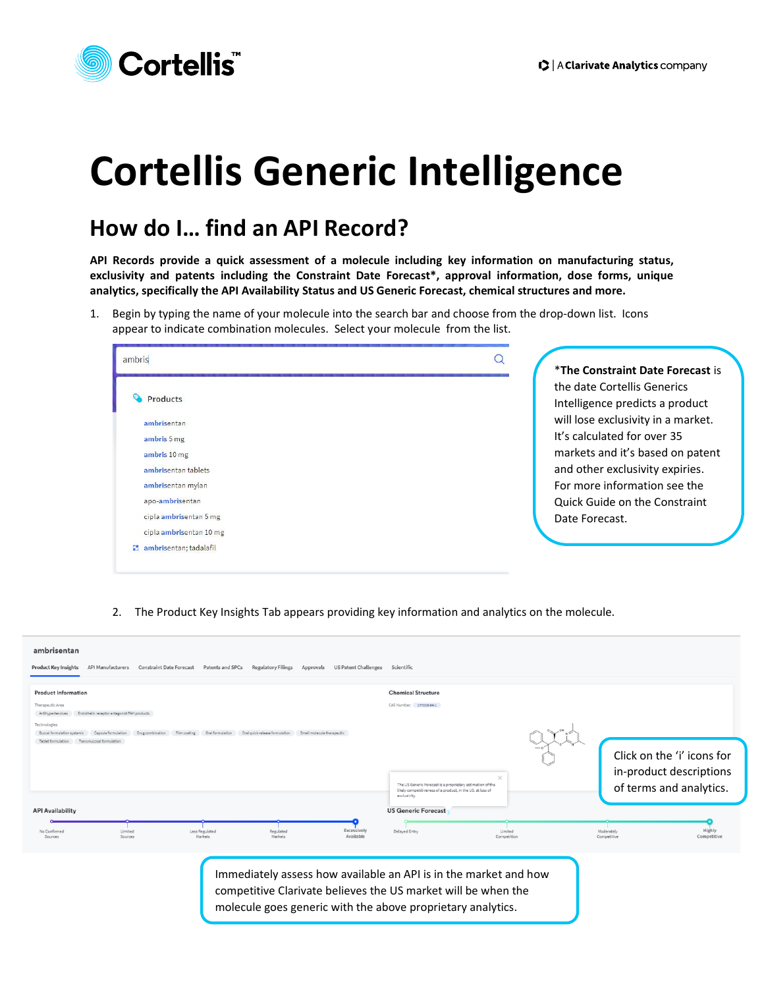

## **Cortellis Generic Intelligence**

## **How do I… find an API Record?**

**API Records provide a quick assessment of a molecule including key information on manufacturing status, exclusivity and patents including the Constraint Date Forecast\*, approval information, dose forms, unique analytics, specifically the API Availability Status and US Generic Forecast, chemical structures and more.**

1. Begin by typing the name of your molecule into the search bar and choose from the drop-down list. Icons appear to indicate combination molecules. Select your molecule from the list.

| ambris                   |                                         |
|--------------------------|-----------------------------------------|
|                          | <i>*The Constraint Date Forecast is</i> |
|                          | the date Cortellis Generics             |
| Products                 | Intelligence predicts a product         |
| ambrisentan              | will lose exclusivity in a market.      |
| ambris 5 mg              | It's calculated for over 35             |
| ambris 10 mg             | markets and it's based on patent        |
| ambrisentan tablets      | and other exclusivity expiries.         |
| ambrisentan mylan        | For more information see the            |
| apo-ambrisentan          | Quick Guide on the Constraint           |
| cipla ambrisentan 5 mg   | Date Forecast.                          |
| cipla ambrisentan 10 mg  |                                         |
| s ambrisentan; tadalafil |                                         |

2. The Product Key Insights Tab appears providing key information and analytics on the molecule.

| ambrisentan<br><b>Product Key Insights</b><br><b>API Manufacturers</b><br><b>Constraint Date Forecast</b><br>Patents and SPCs<br><b>Regulatory Filings</b><br><b>US Patent Challenges</b><br>Approvals                                                                                                                                                             | Scientific                                                                                                                                                                                                                                                           |
|--------------------------------------------------------------------------------------------------------------------------------------------------------------------------------------------------------------------------------------------------------------------------------------------------------------------------------------------------------------------|----------------------------------------------------------------------------------------------------------------------------------------------------------------------------------------------------------------------------------------------------------------------|
| <b>Product Information</b><br>Therapeutic Area<br>Endothelin receptor antagonist PAH products<br>Antihypertensives<br>Technologies<br>Drug combination<br>Film coating<br>Oral formulation<br>Oral quick release formulation<br>Small molecule therapeutic<br>Buccal formulation systemic<br>Capsule formulation<br>Transmucosal formulation<br>Tablet formulation | <b>Chemical Structure</b><br>CAS Number: 177036-94-1<br>Click on the 'i' icons for<br>in-product descriptions<br>The US Generic Forecast is a proprietary estimation of the<br>of terms and analytics.<br>likely competitiveness of a product, in the US, at loss of |
| <b>API Availability</b><br>Excessively<br>No Confirmed<br>Limited<br>Regulated<br>Less Regulated<br>Available<br>Markets<br>Sources<br>Sources<br>Markets                                                                                                                                                                                                          | exclusivity.<br><b>US Generic Forecast</b><br>Highly<br>Delayed Entry<br>Limited<br>Moderately<br>Competition<br>Competitive<br>Competitive                                                                                                                          |
| competitive Clarivate believes the US market will be when the<br>molecule goes generic with the above proprietary analytics.                                                                                                                                                                                                                                       | Immediately assess how available an API is in the market and how                                                                                                                                                                                                     |